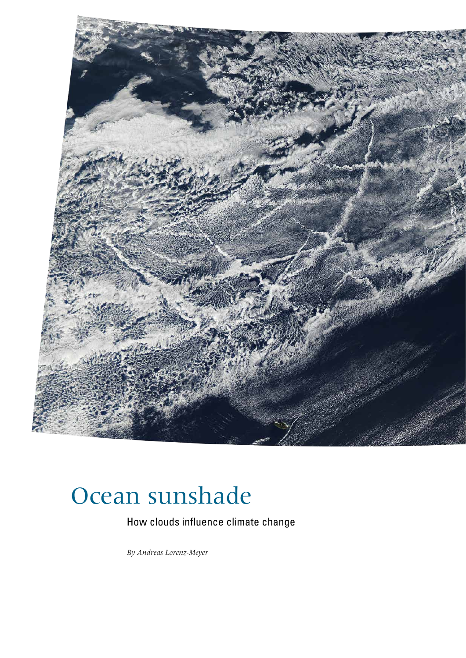

# Ocean sunshade

How clouds influence climate change

 *By Andreas Lorenz-Meyer*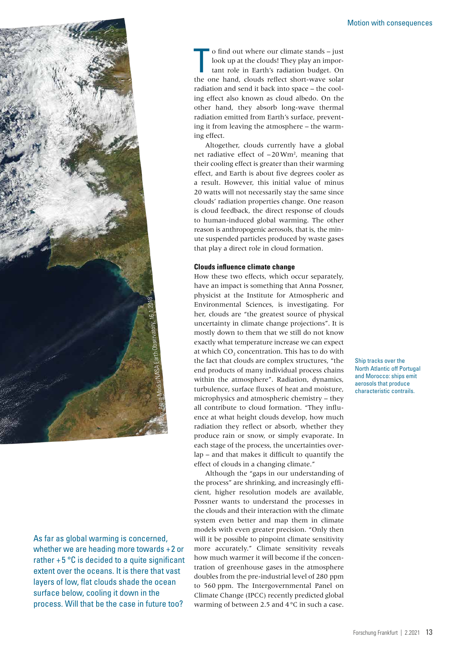

As far as global warming is concerned, whether we are heading more towards +2 or rather  $+5$  °C is decided to a quite significant extent over the oceans. It is there that vast layers of low, flat clouds shade the ocean surface below, cooling it down in the process. Will that be the case in future too?

o find out where our climate stands – just<br>look up at the clouds! They play an impor-<br>tant role in Earth's radiation budget. On<br>the one hand, clouds reflect short-wave solar o find out where our climate stands – just look up at the clouds! They play an important role in Earth's radiation budget. On radiation and send it back into space – the cooling effect also known as cloud albedo. On the other hand, they absorb long-wave thermal radiation emitted from Earth's surface, preventing it from leaving the atmosphere – the warming effect.

Altogether, clouds currently have a global net radiative effect of  $-20$  Wm<sup>2</sup>, meaning that their cooling effect is greater than their warming effect, and Earth is about five degrees cooler as a result. However, this initial value of minus 20 watts will not necessarily stay the same since clouds' radiation properties change. One reason is cloud feedback, the direct response of clouds to human-induced global warming. The other reason is anthropogenic aerosols, that is, the minute suspended particles produced by waste gases that play a direct role in cloud formation.

# **Clouds influence climate change**

How these two effects, which occur separately, have an impact is something that Anna Possner, physicist at the Institute for Atmospheric and Environmental Sciences, is investigating. For her, clouds are "the greatest source of physical uncertainty in climate change projections". It is mostly down to them that we still do not know exactly what temperature increase we can expect at which  $CO<sub>2</sub>$  concentration. This has to do with the fact that clouds are complex structures, "the end products of many individual process chains within the atmosphere". Radiation, dynamics, turbulence, surface fluxes of heat and moisture, microphysics and atmospheric chemistry – they all contribute to cloud formation. "They influence at what height clouds develop, how much radiation they reflect or absorb, whether they produce rain or snow, or simply evaporate. In each stage of the process, the uncertainties overlap – and that makes it difficult to quantify the effect of clouds in a changing climate." Environmental Sciences, is investigating. For<br>Environmental Sciences, is investigating. For<br>her, clouds are "the greatest source of physical<br>uncertainty in climate change projections". It is<br>mostly down to them that we sti

> Although the "gaps in our understanding of the process" are shrinking, and increasingly efficient, higher resolution models are available, Possner wants to understand the processes in the clouds and their interaction with the climate system even better and map them in climate models with even greater precision. "Only then will it be possible to pinpoint climate sensitivity more accurately." Climate sensitivity reveals how much warmer it will become if the concentration of greenhouse gases in the atmosphere doubles from the pre-industrial level of 280 ppm to 560 ppm. The Intergovernmental Panel on Climate Change (IPCC) recently predicted global warming of between 2.5 and 4°C in such a case.

Ship tracks over the North Atlantic off Portugal and Morocco: ships emit aerosols that produce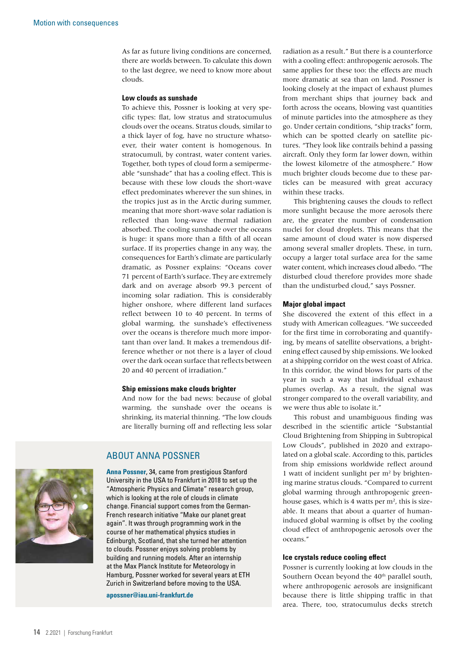As far as future living conditions are concerned, there are worlds between. To calculate this down to the last degree, we need to know more about clouds.

## **Low clouds as sunshade**

To achieve this, Possner is looking at very specific types: flat, low stratus and stratocumulus clouds over the oceans. Stratus clouds, similar to a thick layer of fog, have no structure whatsoever, their water content is homogenous. In stratocumuli, by contrast, water content varies. Together, both types of cloud form a semipermeable "sunshade" that has a cooling effect. This is because with these low clouds the short-wave effect predominates wherever the sun shines, in the tropics just as in the Arctic during summer, meaning that more short-wave solar radiation is reflected than long-wave thermal radiation absorbed. The cooling sunshade over the oceans is huge: it spans more than a fifth of all ocean surface. If its properties change in any way, the consequences for Earth's climate are particularly dramatic, as Possner explains: "Oceans cover 71 percent of Earth's surface. They are extremely dark and on average absorb 99.3 percent of incoming solar radiation. This is considerably higher onshore, where different land surfaces reflect between 10 to 40 percent. In terms of global warming, the sunshade's effectiveness over the oceans is therefore much more important than over land. It makes a tremendous difference whether or not there is a layer of cloud over the dark ocean surface that reflects between 20 and 40 percent of irradiation."

# **Ship emissions make clouds brighter**

And now for the bad news: because of global warming, the sunshade over the oceans is shrinking, its material thinning. "The low clouds are literally burning off and reflecting less solar

# ABOUT ANNA POSSNER

**Anna Possner**, 34, came from prestigious Stanford University in the USA to Frankfurt in 2018 to set up the "Atmospheric Physics and Climate" research group, which is looking at the role of clouds in climate change. Financial support comes from the German-French research initiative "Make our planet great again". It was through programming work in the course of her mathematical physics studies in Edinburgh, Scotland, that she turned her attention to clouds. Possner enjoys solving problems by building and running models. After an internship at the Max Planck Institute for Meteorology in Hamburg, Possner worked for several years at ETH Zurich in Switzerland before moving to the USA.

**[apossner@iau.uni-frankfurt.de](mailto:apossner@iau.uni-frankfurt.de)**

radiation as a result." But there is a counterforce with a cooling effect: anthropogenic aerosols. The same applies for these too: the effects are much more dramatic at sea than on land. Possner is looking closely at the impact of exhaust plumes from merchant ships that journey back and forth across the oceans, blowing vast quantities of minute particles into the atmosphere as they go. Under certain conditions, "ship tracks" form, which can be spotted clearly on satellite pictures. "They look like contrails behind a passing aircraft. Only they form far lower down, within the lowest kilometre of the atmosphere." How much brighter clouds become due to these particles can be measured with great accuracy within these tracks.

This brightening causes the clouds to reflect more sunlight because the more aerosols there are, the greater the number of condensation nuclei for cloud droplets. This means that the same amount of cloud water is now dispersed among several smaller droplets. These, in turn, occupy a larger total surface area for the same water content, which increases cloud albedo. "The disturbed cloud therefore provides more shade than the undisturbed cloud," says Possner.

## **Major global impact**

She discovered the extent of this effect in a study with American colleagues. "We succeeded for the first time in corroborating and quantifying, by means of satellite observations, a brightening effect caused by ship emissions. We looked at a shipping corridor on the west coast of Africa. In this corridor, the wind blows for parts of the year in such a way that individual exhaust plumes overlap. As a result, the signal was stronger compared to the overall variability, and we were thus able to isolate it."

This robust and unambiguous finding was described in the scientific article "Substantial Cloud Brightening from Shipping in Subtropical Low Clouds", published in 2020 and extrapolated on a global scale. According to this, particles from ship emissions worldwide reflect around 1 watt of incident sunlight per m2 by brightening marine stratus clouds. "Compared to current global warming through anthropogenic greenhouse gases, which is 4 watts per  $m<sup>2</sup>$ , this is sizeable. It means that about a quarter of humaninduced global warming is offset by the cooling cloud effect of anthropogenic aerosols over the oceans."

#### **Ice crystals reduce cooling effect**

Possner is currently looking at low clouds in the Southern Ocean beyond the 40<sup>th</sup> parallel south, where anthropogenic aerosols are insignificant because there is little shipping traffic in that area. There, too, stratocumulus decks stretch